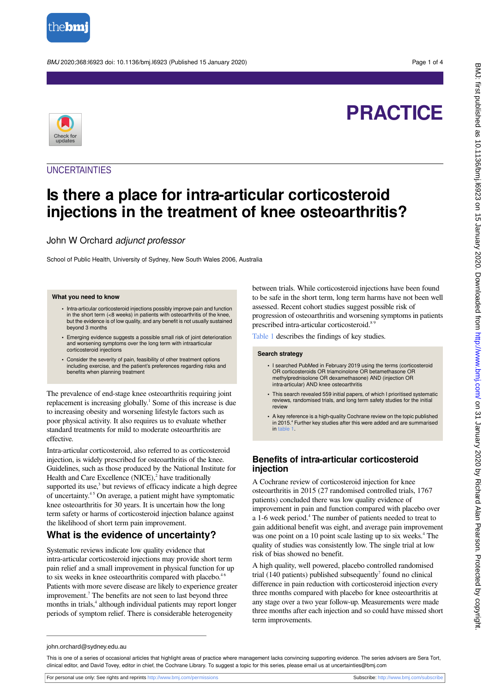

BMJ 2020;368:l6923 doi: 10.1136/bmj.l6923 (Published 15 January 2020) Page 1 of 4



# **PRACTICE**

## **UNCERTAINTIES**

## **Is there a place for intra-articular corticosteroid injections in the treatment of knee osteoarthritis?**

## John W Orchard adjunct professor

School of Public Health, University of Sydney, New South Wales 2006, Australia

#### **What you need to know**

- **•** Intra-articular corticosteroid injections possibly improve pain and function in the short term  $( $8$  weeks)$  in patients with osteoarthritis of the knee, but the evidence is of low quality, and any benefit is not usually sustained beyond 3 months
- **•** Emerging evidence suggests a possible small risk of joint deterioration and worsening symptoms over the long term with intraarticular corticosteroid injections
- **•** Consider the severity of pain, feasibility of other treatment options including exercise, and the patient's preferences regarding risks and benefits when planning treatment

The prevalence of end-stage knee osteoarthritis requiring joint replacement is increasing globally.<sup>1</sup> Some of this increase is due to increasing obesity and worsening lifestyle factors such as poor physical activity. It also requires us to evaluate whether standard treatments for mild to moderate osteoarthritis are effective.

Intra-articular corticosteroid, also referred to as corticosteroid injection, is widely prescribed for osteoarthritis of the knee. Guidelines, such as those produced by the National Institute for Health and Care Excellence (NICE),<sup>2</sup> have traditionally supported its use,<sup>3</sup> but reviews of efficacy indicate a high degree of uncertainty.4 5 On average, a patient might have symptomatic knee osteoarthritis for 30 years. It is uncertain how the long term safety or harms of corticosteroid injection balance against the likelihood of short term pain improvement.

## **What is the evidence of uncertainty?**

Systematic reviews indicate low quality evidence that intra-articular corticosteroid injections may provide short term pain relief and a small improvement in physical function for up to six weeks in knee osteoarthritis compared with placebo.<sup>46</sup> Patients with more severe disease are likely to experience greater improvement.<sup>7</sup> The benefits are not seen to last beyond three months in trials,<sup>4</sup> although individual patients may report longer periods of symptom relief. There is considerable heterogeneity

between trials. While corticosteroid injections have been found to be safe in the short term, long term harms have not been well assessed. Recent cohort studies suggest possible risk of progression of osteoarthritis and worsening symptoms in patients prescribed intra-articular corticosteroid.<sup>85</sup>

[Table 1](#page-3-0) describes the findings of key studies.

#### **Search strategy**

- **•** I searched PubMed in February 2019 using the terms (corticosteroid OR corticosteroids OR triamcinolone OR betamethasone OR methylprednisolone OR dexamethasone) AND (injection OR intra-articular) AND knee osteoarthritis
- **•** This search revealed 559 initial papers, of which I prioritised systematic reviews, randomised trials, and long term safety studies for the initial review
- **•** A key reference is a high-quality Cochrane review on the topic published in 2015.<sup>4</sup> Further key studies after this were added and are summarised in [table 1](#page-3-0)

## **Benefits of intra-articular corticosteroid injection**

A Cochrane review of corticosteroid injection for knee osteoarthritis in 2015 (27 randomised controlled trials, 1767 patients) concluded there was low quality evidence of improvement in pain and function compared with placebo over a 1-6 week period.<sup>4</sup> The number of patients needed to treat to gain additional benefit was eight, and average pain improvement was one point on a 10 point scale lasting up to six weeks.<sup>4</sup> The quality of studies was consistently low. The single trial at low risk of bias showed no benefit.

A high quality, well powered, placebo controlled randomised trial  $(140$  patients) published subsequently<sup>7</sup> found no clinical difference in pain reduction with corticosteroid injection every three months compared with placebo for knee osteoarthritis at any stage over a two year follow-up. Measurements were made three months after each injection and so could have missed short term improvements.

john.orchard@sydney.edu.au

This is one of a series of occasional articles that highlight areas of practice where management lacks convincing supporting evidence. The series advisers are Sera Tort, clinical editor, and David Tovey, editor in chief, the Cochrane Library. To suggest a topic for this series, please email us at uncertainties@bmj.com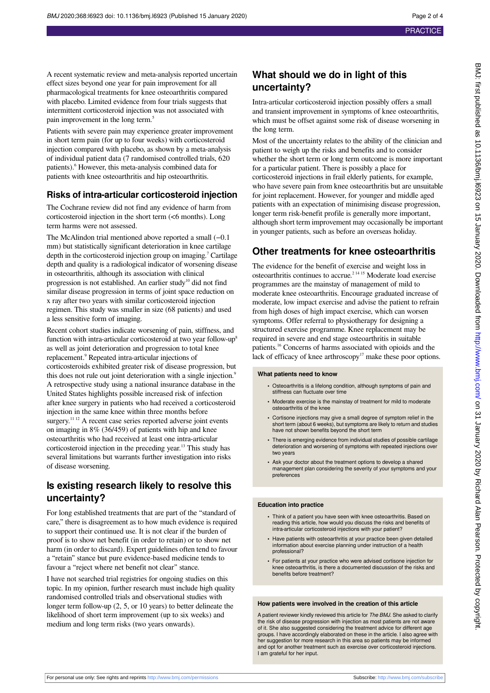A recent systematic review and meta-analysis reported uncertain effect sizes beyond one year for pain improvement for all pharmacological treatments for knee osteoarthritis compared with placebo. Limited evidence from four trials suggests that intermittent corticosteroid injection was not associated with pain improvement in the long term.<sup>5</sup>

Patients with severe pain may experience greater improvement in short term pain (for up to four weeks) with corticosteroid injection compared with placebo, as shown by a meta-analysis of individual patient data (7 randomised controlled trials, 620 patients).<sup>6</sup> However, this meta-analysis combined data for patients with knee osteoarthritis and hip osteoarthritis.

### **Risks of intra-articular corticosteroid injection**

The Cochrane review did not find any evidence of harm from corticosteroid injection in the short term (<6 months). Long term harms were not assessed.

The McAlindon trial mentioned above reported a small (−0.1 mm) but statistically significant deterioration in knee cartilage depth in the corticosteroid injection group on imaging.<sup>7</sup> Cartilage depth and quality is a radiological indicator of worsening disease in osteoarthritis, although its association with clinical progression is not established. An earlier study<sup>10</sup> did not find similar disease progression in terms of joint space reduction on x ray after two years with similar corticosteroid injection regimen. This study was smaller in size (68 patients) and used a less sensitive form of imaging.

Recent cohort studies indicate worsening of pain, stiffness, and function with intra-articular corticosteroid at two year follow-up<sup>8</sup> as well as joint deterioration and progression to total knee replacement.<sup>9</sup> Repeated intra-articular injections of corticosteroids exhibited greater risk of disease progression, but this does not rule out joint deterioration with a single injection.<sup>9</sup> A retrospective study using a national insurance database in the United States highlights possible increased risk of infection after knee surgery in patients who had received a corticosteroid injection in the same knee within three months before surgery.<sup>11 12</sup> A recent case series reported adverse joint events on imaging in 8% (36/459) of patients with hip and knee osteoarthritis who had received at least one intra-articular corticosteroid injection in the preceding year.<sup>13</sup> This study has several limitations but warrants further investigation into risks of disease worsening.

## **Is existing research likely to resolve this uncertainty?**

For long established treatments that are part of the "standard of care," there is disagreement as to how much evidence is required to support their continued use. It is not clear if the burden of proof is to show net benefit (in order to retain) or to show net harm (in order to discard). Expert guidelines often tend to favour a "retain" stance but pure evidence-based medicine tends to favour a "reject where net benefit not clear" stance.

I have not searched trial registries for ongoing studies on this topic. In my opinion, further research must include high quality randomised controlled trials and observational studies with longer term follow-up (2, 5, or 10 years) to better delineate the likelihood of short term improvement (up to six weeks) and medium and long term risks (two years onwards).

## **What should we do in light of this uncertainty?**

Intra-articular corticosteroid injection possibly offers a small and transient improvement in symptoms of knee osteoarthritis, which must be offset against some risk of disease worsening in the long term.

Most of the uncertainty relates to the ability of the clinician and patient to weigh up the risks and benefits and to consider whether the short term or long term outcome is more important for a particular patient. There is possibly a place for corticosteroid injections in frail elderly patients, for example, who have severe pain from knee osteoarthritis but are unsuitable for joint replacement. However, for younger and middle aged patients with an expectation of minimising disease progression, longer term risk-benefit profile is generally more important, although short term improvement may occasionally be important in younger patients, such as before an overseas holiday.

## **Other treatments for knee osteoarthritis**

The evidence for the benefit of exercise and weight loss in osteoarthritis continues to accrue.2 14 15 Moderate load exercise programmes are the mainstay of management of mild to moderate knee osteoarthritis. Encourage graduated increase of moderate, low impact exercise and advise the patient to refrain from high doses of high impact exercise, which can worsen symptoms. Offer referral to physiotherapy for designing a structured exercise programme. Knee replacement may be required in severe and end stage osteoarthritis in suitable patients.<sup>16</sup> Concerns of harms associated with opioids and the lack of efficacy of knee arthroscopy<sup>17</sup> make these poor options.

#### **What patients need to know**

- **•** Osteoarthritis is a lifelong condition, although symptoms of pain and stiffness can fluctuate over time
- **•** Moderate exercise is the mainstay of treatment for mild to moderate osteoarthritis of the knee
- **•** Cortisone injections may give a small degree of symptom relief in the short term (about 6 weeks), but symptoms are likely to return and studies have not shown benefits beyond the short term
- **•** There is emerging evidence from individual studies of possible cartilage deterioration and worsening of symptoms with repeated injections over two years
- **•** Ask your doctor about the treatment options to develop a shared management plan considering the severity of your symptoms and your preferences

#### **Education into practice**

- **•** Think of a patient you have seen with knee osteoarthritis. Based on reading this article, how would you discuss the risks and benefits of intra-articular corticosteroid injections with your patient?
- **•** Have patients with osteoarthritis at your practice been given detailed information about exercise planning under instruction of a health professional?
- **•** For patients at your practice who were advised cortisone injection for knee osteoarthritis, is there a documented discussion of the risks and benefits before treatment?

#### **How patients were involved in the creation of this article**

A patient reviewer kindly reviewed this article for The BMJ. She asked to clarify the risk of disease progression with injection as most patients are not aware of it. She also suggested considering the treatment advice for different age groups. I have accordingly elaborated on these in the article. I also agree with her suggestion for more research in this area so patients may be informed and opt for another treatment such as exercise over corticosteroid injections. I am grateful for her input.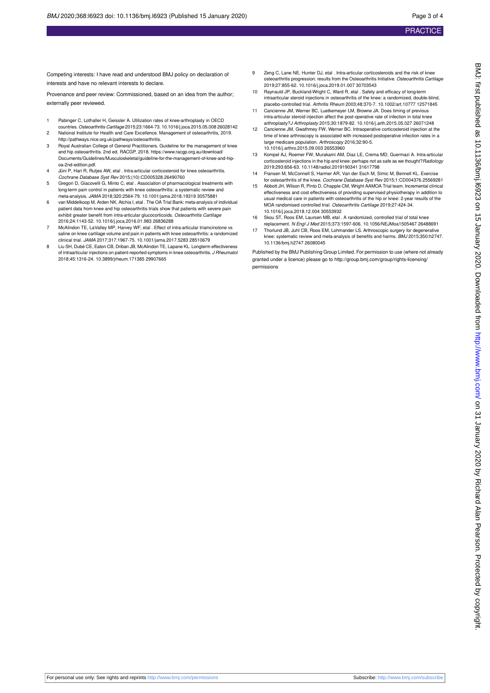Competing interests: I have read and understood BMJ policy on declaration of interests and have no relevant interests to declare.

Provenance and peer review: Commissioned, based on an idea from the author; externally peer reviewed.

- 1 Pabinger C, Lothaller H, Geissler A. Utilization rates of knee-arthroplasty in OECD countries. Osteoarthritis Cartilage 2015;23:1664-73. 10.1016/j.joca.2015.05.008 26028142
- 2 National Institute for Health and Care Excellence. Management of osteoarthritis, 2019. [http://pathways.nice.org.uk/pathways/osteoarthritis.](http://pathways.nice.org.uk/pathways/osteoarthritis)
- 3 Royal Australian College of General Practitioners. Guideline for the management of knee and hip osteoarthritis. 2nd ed. RACGP, 2018. https://www.racgp.org.au/download/ Documents/Guidelines/Musculoskeletal/guideline-for-the-management-of-knee-and-hipoa-2nd-edition.pdf.
- Jüni P, Hari R, Rutjes AW, etal . Intra-articular corticosteroid for knee osteoarthritis. Cochrane Database Syst Rev 2015;(10):CD005328.26490760
- 5 Gregori D, Giacovelli G, Minto C, etal . Association of pharmacological treatments with long-term pain control in patients with knee osteoarthritis: a systematic review and meta-analysis. JAMA 2018;320:2564-79. 10.1001/jama.2018.19319 30575881
- 6 van Middelkoop M, Arden NK, Atchia I, etal . The OA Trial Bank: meta-analysis of individual patient data from knee and hip osteoarthritis trials show that patients with severe pain exhibit greater benefit from intra-articular glucocorticoids. Osteoarthritis Cartilage 2016;24:1143-52. 10.1016/j.joca.2016.01.983 26836288
- 7 McAlindon TE, LaValley MP, Harvey WF, etal . Effect of intra-articular triamcinolone vs saline on knee cartilage volume and pain in patients with knee osteoarthritis: a randomized clinical trial. JAMA 2017;317:1967-75. 10.1001/jama.2017.5283 28510679
- 8 Liu SH, Dubé CE, Eaton CB, Driban JB, McAlindon TE, Lapane KL. Longterm effectiveness of intraarticular injections on patient-reported symptoms in knee osteoarthritis. J Rheumatol 2018;45:1316-24. 10.3899/jrheum.171385 29907665
- 9 Zeng C, Lane NE, Hunter DJ, etal . Intra-articular corticosteroids and the risk of knee osteoarthritis progression: results from the Osteoarthritis Initiative. Osteoarthritis Cartilage 2019;27:855-62. 10.1016/j.joca.2019.01.007 30703543
- 10 Raynauld JP, Buckland-Wright C, Ward R, etal . Safety and efficacy of long-term intraarticular steroid injections in osteoarthritis of the knee: a randomized, double-blind, placebo-controlled trial. Arthritis Rheum 2003;48:370-7. 10.1002/art.10777 12571845
- 11 Cancienne JM, Werner BC, Luetkemeyer LM, Browne JA. Does timing of previous intra-articular steroid injection affect the post-operative rate of infection in total knee arthroplasty?J Arthroplasty 2015;30:1879-82. 10.1016/j.arth.2015.05.027 26071248
- 12 Cancienne JM, Gwathmey FW, Werner BC. Intraoperative corticosteroid injection at the time of knee arthroscopy is associated with increased postoperative infection rates in a large medicare population. Arthroscopy 2016;32:90-5. 10.1016/j.arthro.2015.09.003 26553960
- 13 Kompel AJ, Roemer FW, Murakami AM, Diaz LE, Crema MD, Guermazi A. Intra-articular corticosteroid injections in the hip and knee: perhaps not as safe as we thought? Radiology 2019;293:656-63. 10.1148/radiol.2019190341 31617798
- 14 Fransen M, McConnell S, Harmer AR, Van der Esch M, Simic M, Bennell KL. Exercise for osteoarthritis of the knee. Cochrane Database Syst Rev 2015;1:CD004376.25569281
- 15 Abbott JH, Wilson R, Pinto D, Chapple CM, Wright AAMOA Trial team. Incremental clinical effectiveness and cost effectiveness of providing supervised physiotherapy in addition to usual medical care in patients with osteoarthritis of the hip or knee: 2-year results of the MOA randomised controlled trial. Osteoarthritis Cartilage 2019;27:424-34. 10.1016/j.joca.2018.12.004 30553932
- 16 Skou ST, Roos EM, Laursen MB, etal . A randomized, controlled trial of total knee replacement. N Engl J Med 2015;373:1597-606. 10.1056/NEJMoa1505467 26488691
- 17 Thorlund JB, Juhl CB, Roos EM, Lohmander LS. Arthroscopic surgery for degenerative knee: systematic review and meta-analysis of benefits and harms. BMJ 2015;350:h2747. 10.1136/bmj.h2747 26080045

Published by the BMJ Publishing Group Limited. For permission to use (where not already granted under a licence) please go to [http://group.bmj.com/group/rights-licensing/](http://group.bmj.com/group/rights-licensing/permissions) [permissions](http://group.bmj.com/group/rights-licensing/permissions)